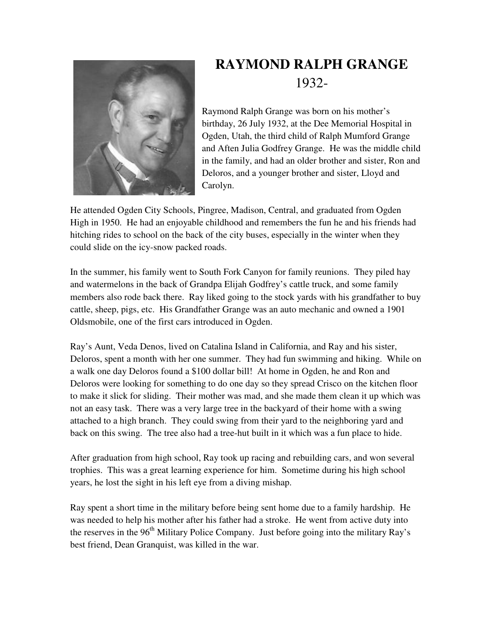

## **RAYMOND RALPH GRANGE**  1932-

Raymond Ralph Grange was born on his mother's birthday, 26 July 1932, at the Dee Memorial Hospital in Ogden, Utah, the third child of Ralph Mumford Grange and Aften Julia Godfrey Grange. He was the middle child in the family, and had an older brother and sister, Ron and Deloros, and a younger brother and sister, Lloyd and Carolyn.

He attended Ogden City Schools, Pingree, Madison, Central, and graduated from Ogden High in 1950. He had an enjoyable childhood and remembers the fun he and his friends had hitching rides to school on the back of the city buses, especially in the winter when they could slide on the icy-snow packed roads.

In the summer, his family went to South Fork Canyon for family reunions. They piled hay and watermelons in the back of Grandpa Elijah Godfrey's cattle truck, and some family members also rode back there. Ray liked going to the stock yards with his grandfather to buy cattle, sheep, pigs, etc. His Grandfather Grange was an auto mechanic and owned a 1901 Oldsmobile, one of the first cars introduced in Ogden.

Ray's Aunt, Veda Denos, lived on Catalina Island in California, and Ray and his sister, Deloros, spent a month with her one summer. They had fun swimming and hiking. While on a walk one day Deloros found a \$100 dollar bill! At home in Ogden, he and Ron and Deloros were looking for something to do one day so they spread Crisco on the kitchen floor to make it slick for sliding. Their mother was mad, and she made them clean it up which was not an easy task. There was a very large tree in the backyard of their home with a swing attached to a high branch. They could swing from their yard to the neighboring yard and back on this swing. The tree also had a tree-hut built in it which was a fun place to hide.

After graduation from high school, Ray took up racing and rebuilding cars, and won several trophies. This was a great learning experience for him. Sometime during his high school years, he lost the sight in his left eye from a diving mishap.

Ray spent a short time in the military before being sent home due to a family hardship. He was needed to help his mother after his father had a stroke. He went from active duty into the reserves in the 96<sup>th</sup> Military Police Company. Just before going into the military Ray's best friend, Dean Granquist, was killed in the war.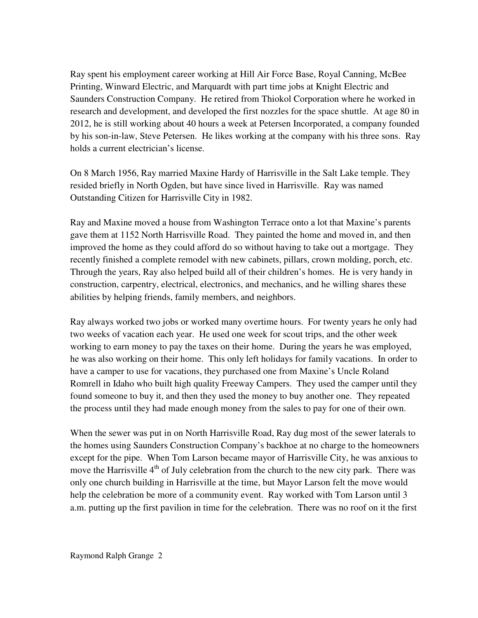Ray spent his employment career working at Hill Air Force Base, Royal Canning, McBee Printing, Winward Electric, and Marquardt with part time jobs at Knight Electric and Saunders Construction Company. He retired from Thiokol Corporation where he worked in research and development, and developed the first nozzles for the space shuttle. At age 80 in 2012, he is still working about 40 hours a week at Petersen Incorporated, a company founded by his son-in-law, Steve Petersen. He likes working at the company with his three sons. Ray holds a current electrician's license.

On 8 March 1956, Ray married Maxine Hardy of Harrisville in the Salt Lake temple. They resided briefly in North Ogden, but have since lived in Harrisville. Ray was named Outstanding Citizen for Harrisville City in 1982.

Ray and Maxine moved a house from Washington Terrace onto a lot that Maxine's parents gave them at 1152 North Harrisville Road. They painted the home and moved in, and then improved the home as they could afford do so without having to take out a mortgage. They recently finished a complete remodel with new cabinets, pillars, crown molding, porch, etc. Through the years, Ray also helped build all of their children's homes. He is very handy in construction, carpentry, electrical, electronics, and mechanics, and he willing shares these abilities by helping friends, family members, and neighbors.

Ray always worked two jobs or worked many overtime hours. For twenty years he only had two weeks of vacation each year. He used one week for scout trips, and the other week working to earn money to pay the taxes on their home. During the years he was employed, he was also working on their home. This only left holidays for family vacations. In order to have a camper to use for vacations, they purchased one from Maxine's Uncle Roland Romrell in Idaho who built high quality Freeway Campers. They used the camper until they found someone to buy it, and then they used the money to buy another one. They repeated the process until they had made enough money from the sales to pay for one of their own.

When the sewer was put in on North Harrisville Road, Ray dug most of the sewer laterals to the homes using Saunders Construction Company's backhoe at no charge to the homeowners except for the pipe. When Tom Larson became mayor of Harrisville City, he was anxious to move the Harrisville  $4<sup>th</sup>$  of July celebration from the church to the new city park. There was only one church building in Harrisville at the time, but Mayor Larson felt the move would help the celebration be more of a community event. Ray worked with Tom Larson until 3 a.m. putting up the first pavilion in time for the celebration. There was no roof on it the first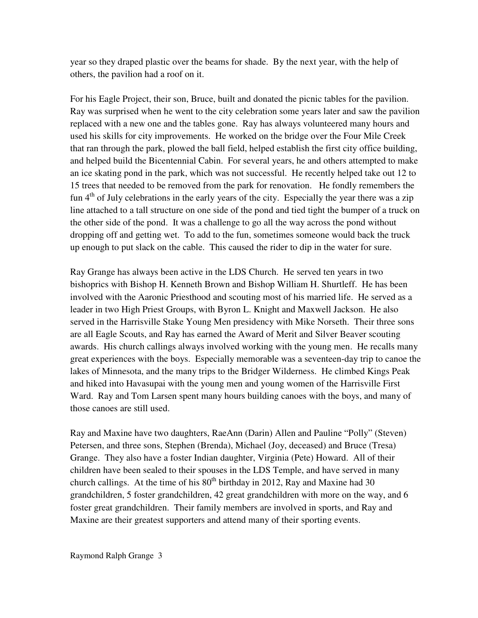year so they draped plastic over the beams for shade. By the next year, with the help of others, the pavilion had a roof on it.

For his Eagle Project, their son, Bruce, built and donated the picnic tables for the pavilion. Ray was surprised when he went to the city celebration some years later and saw the pavilion replaced with a new one and the tables gone. Ray has always volunteered many hours and used his skills for city improvements. He worked on the bridge over the Four Mile Creek that ran through the park, plowed the ball field, helped establish the first city office building, and helped build the Bicentennial Cabin. For several years, he and others attempted to make an ice skating pond in the park, which was not successful. He recently helped take out 12 to 15 trees that needed to be removed from the park for renovation. He fondly remembers the fun  $4<sup>th</sup>$  of July celebrations in the early years of the city. Especially the year there was a zip line attached to a tall structure on one side of the pond and tied tight the bumper of a truck on the other side of the pond. It was a challenge to go all the way across the pond without dropping off and getting wet. To add to the fun, sometimes someone would back the truck up enough to put slack on the cable. This caused the rider to dip in the water for sure.

Ray Grange has always been active in the LDS Church. He served ten years in two bishoprics with Bishop H. Kenneth Brown and Bishop William H. Shurtleff. He has been involved with the Aaronic Priesthood and scouting most of his married life. He served as a leader in two High Priest Groups, with Byron L. Knight and Maxwell Jackson. He also served in the Harrisville Stake Young Men presidency with Mike Norseth. Their three sons are all Eagle Scouts, and Ray has earned the Award of Merit and Silver Beaver scouting awards. His church callings always involved working with the young men. He recalls many great experiences with the boys. Especially memorable was a seventeen-day trip to canoe the lakes of Minnesota, and the many trips to the Bridger Wilderness. He climbed Kings Peak and hiked into Havasupai with the young men and young women of the Harrisville First Ward. Ray and Tom Larsen spent many hours building canoes with the boys, and many of those canoes are still used.

Ray and Maxine have two daughters, RaeAnn (Darin) Allen and Pauline "Polly" (Steven) Petersen, and three sons, Stephen (Brenda), Michael (Joy, deceased) and Bruce (Tresa) Grange. They also have a foster Indian daughter, Virginia (Pete) Howard. All of their children have been sealed to their spouses in the LDS Temple, and have served in many church callings. At the time of his  $80<sup>th</sup>$  birthday in 2012, Ray and Maxine had 30 grandchildren, 5 foster grandchildren, 42 great grandchildren with more on the way, and 6 foster great grandchildren. Their family members are involved in sports, and Ray and Maxine are their greatest supporters and attend many of their sporting events.